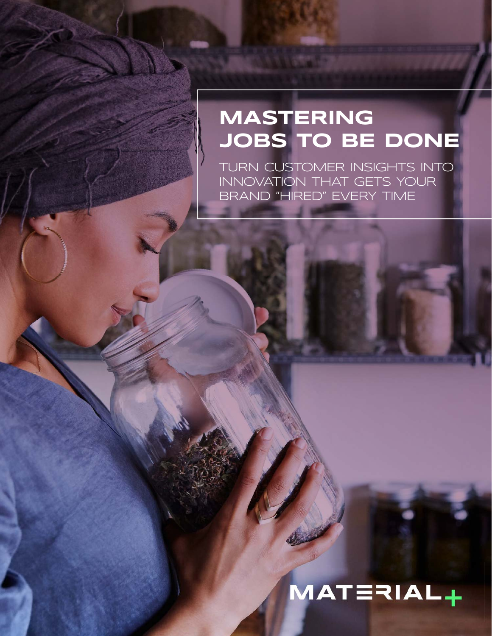### **MASTERING JOBS TO BE DONE**

TURN CUSTOMER INSIGHTS INTO INNOVATION THAT GETS YOUR BRAND "HIRED" EVERY TIME

# MATERIAL+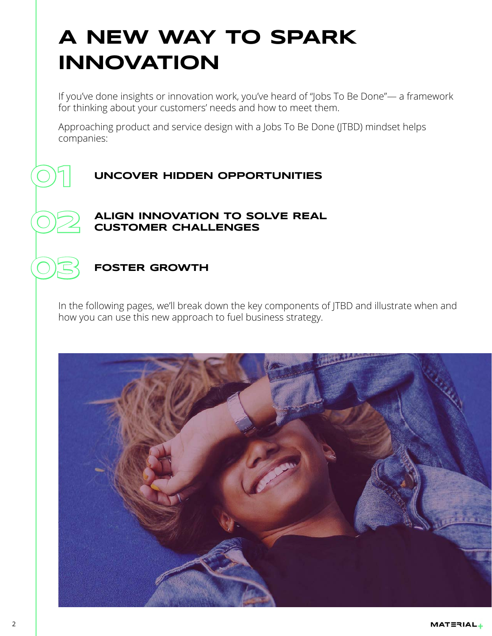### **A NEW WAY to spark innovation**

If you've done insights or innovation work, you've heard of "Jobs To Be Done"— a framework for thinking about your customers' needs and how to meet them.

Approaching product and service design with a Jobs To Be Done (JTBD) mindset helps companies:

#### **01 Uncover hidden opportunities**

#### **Align innovation to solve real customer challenges**

#### **Foster growth**

**02**

**03**

In the following pages, we'll break down the key components of JTBD and illustrate when and how you can use this new approach to fuel business strategy.

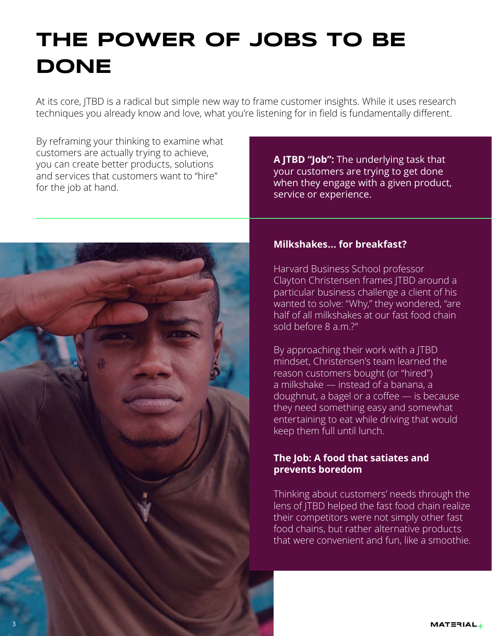### **THE POWER OF JOBS TO BE DONE**

At its core, JTBD is a radical but simple new way to frame customer insights. While it uses research techniques you already know and love, what you're listening for in field is fundamentally different.

By reframing your thinking to examine what customers are actually trying to achieve, you can create better products, solutions and services that customers want to "hire" for the job at hand.

**A JTBD "Job":** The underlying task that your customers are trying to get done when they engage with a given product, service or experience.



#### **Milkshakes... for breakfast?**

Harvard Business School professor Clayton Christensen frames JTBD around a particular business challenge a client of his wanted to solve: "Why," they wondered, "are half of all milkshakes at our fast food chain sold before 8 a.m.?"

By approaching their work with a JTBD mindset, Christensen's team learned the reason customers bought (or "hired") a milkshake — instead of a banana, a doughnut, a bagel or a coffee — is because they need something easy and somewhat entertaining to eat while driving that would keep them full until lunch.

#### **The Job: A food that satiates and prevents boredom**

Thinking about customers' needs through the lens of JTBD helped the fast food chain realize their competitors were not simply other fast food chains, but rather alternative products that were convenient and fun, like a smoothie.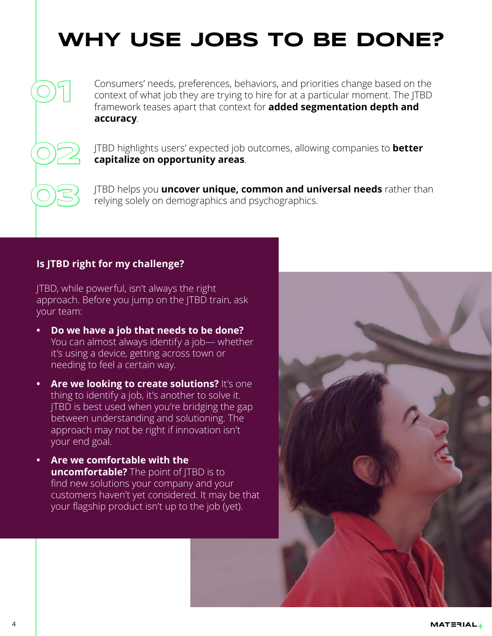### **Why use JOBS TO BE DONE?**

Consumers' needs, preferences, behaviors, and priorities change based on the context of what job they are trying to hire for at a particular moment. The JTBD framework teases apart that context for **added segmentation depth and accuracy**.

JTBD highlights users' expected job outcomes, allowing companies to **better capitalize on opportunity areas**.

JTBD helps you **uncover unique, common and universal needs** rather than relying solely on demographics and psychographics.

#### **Is JTBD right for my challenge?**

**01**

**02**

**03**

JTBD, while powerful, isn't always the right approach. Before you jump on the JTBD train, ask your team:

- **Do we have a job that needs to be done?** You can almost always identify a job— whether it's using a device, getting across town or needing to feel a certain way.
- **Are we looking to create solutions?** It's one thing to identify a job, it's another to solve it. JTBD is best used when you're bridging the gap between understanding and solutioning. The approach may not be right if innovation isn't your end goal.
- **Are we comfortable with the uncomfortable?** The point of JTBD is to find new solutions your company and your customers haven't yet considered. It may be that your flagship product isn't up to the job (yet).

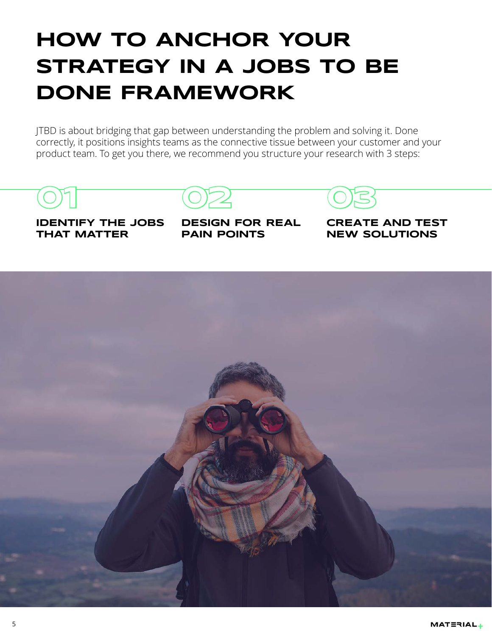### **How to anchor your strategy in a JOBS TO BE DONE framework**

JTBD is about bridging that gap between understanding the problem and solving it. Done correctly, it positions insights teams as the connective tissue between your customer and your product team. To get you there, we recommend you structure your research with 3 steps:

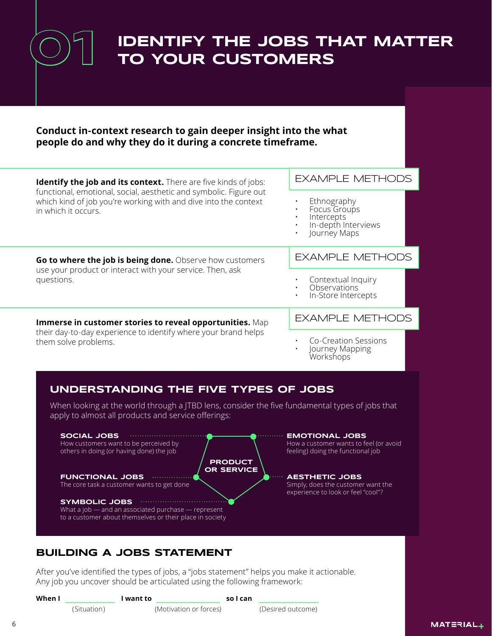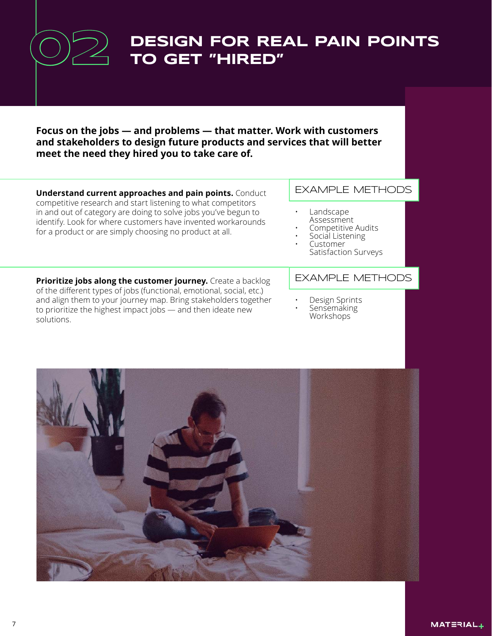**Design for real pain points to get "hired" Focus on the jobs — and problems — that matter. Work with customers and stakeholders to design future products and services that will better meet the need they hired you to take care of. 02**

**Understand current approaches and pain points.** Conduct competitive research and start listening to what competitors in and out of category are doing to solve jobs you've begun to identify. Look for where customers have invented workarounds for a product or are simply choosing no product at all.

#### EXAMPLE METHODS

- Landscape Assessment
- Competitive Audits
- Social Listening • Customer
- Satisfaction Surveys

**Prioritize jobs along the customer journey.** Create a backlog of the different types of jobs (functional, emotional, social, etc.) and align them to your journey map. Bring stakeholders together to prioritize the highest impact jobs — and then ideate new solutions.

#### EXAMPLE METHODS

- Design Sprints
- Sensemaking Workshops

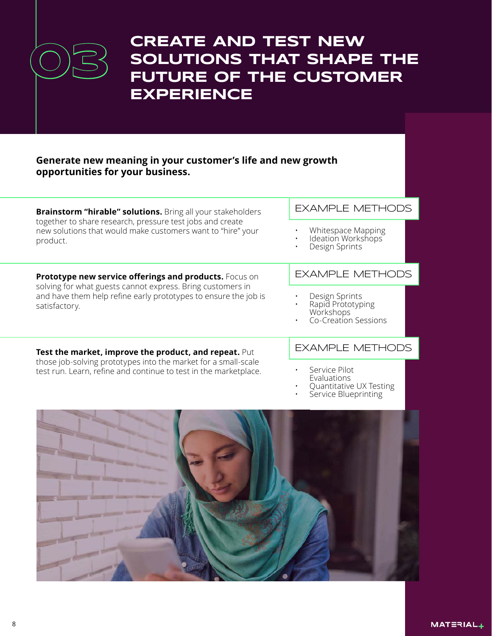

### **Create and test new SOLUTIONS THAT SHAPE THE future of the customer experience**

#### **Generate new meaning in your customer's life and new growth opportunities for your business.**

**Brainstorm "hirable" solutions.** Bring all your stakeholders together to share research, pressure test jobs and create new solutions that would make customers want to "hire" your product.

**Prototype new service offerings and products.** Focus on solving for what guests cannot express. Bring customers in and have them help refine early prototypes to ensure the job is satisfactory.

#### EXAMPLE METHODS

- Whitespace Mapping
- Ideation Workshops
- Design Sprints

#### EXAMPLE METHODS

- Design Sprints
- Rapid Prototyping Workshops
- Co-Creation Sessions

**Test the market, improve the product, and repeat.** Put those job-solving prototypes into the market for a small-scale test run. Learn, refine and continue to test in the marketplace.

#### EXAMPLE METHODS

- Service Pilot Evaluations
- Quantitative UX Testing
- Service Blueprinting

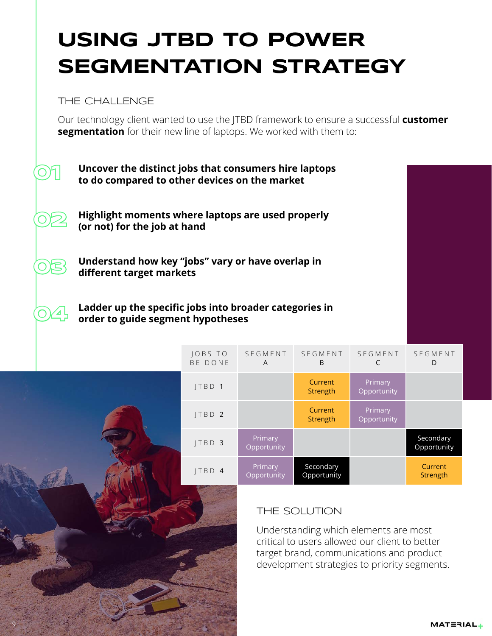### **Using JTBD to power segmentation strategy**

THE CHALLENGE

**O**)

**02**

**03**

**04**

9

Our technology client wanted to use the JTBD framework to ensure a successful **customer segmentation** for their new line of laptops. We worked with them to:



**Highlight moments where laptops are used properly (or not) for the job at hand**

**Understand how key "jobs" vary or have overlap in different target markets**

**Ladder up the specific jobs into broader categories in order to guide segment hypotheses**

| JOBS TO<br>BE DONE | SEGMENT<br>A           | SEGMENT<br>B             | <b>SEGMENT</b><br>C    | SEGMENT<br>D             |
|--------------------|------------------------|--------------------------|------------------------|--------------------------|
| JTBD 1             |                        | Current<br>Strength      | Primary<br>Opportunity |                          |
| JTBD <sub>2</sub>  |                        | Current<br>Strength      | Primary<br>Opportunity |                          |
| JTBD 3             | Primary<br>Opportunity |                          |                        | Secondary<br>Opportunity |
| ITBD4              | Primary<br>Opportunity | Secondary<br>Opportunity |                        | Current<br>Strength      |

#### THE Solution

Understanding which elements are most critical to users allowed our client to better target brand, communications and product development strategies to priority segments.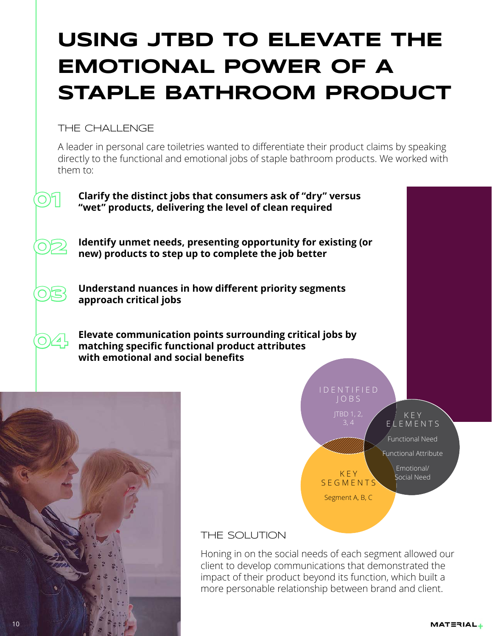### **Using JTBD to Elevate the emotional power of a staple bathroom product**

THE CHALLENGE

A leader in personal care toiletries wanted to differentiate their product claims by speaking directly to the functional and emotional jobs of staple bathroom products. We worked with them to:



#### THE Solution

Honing in on the social needs of each segment allowed our client to develop communications that demonstrated the impact of their product beyond its function, which built a more personable relationship between brand and client.